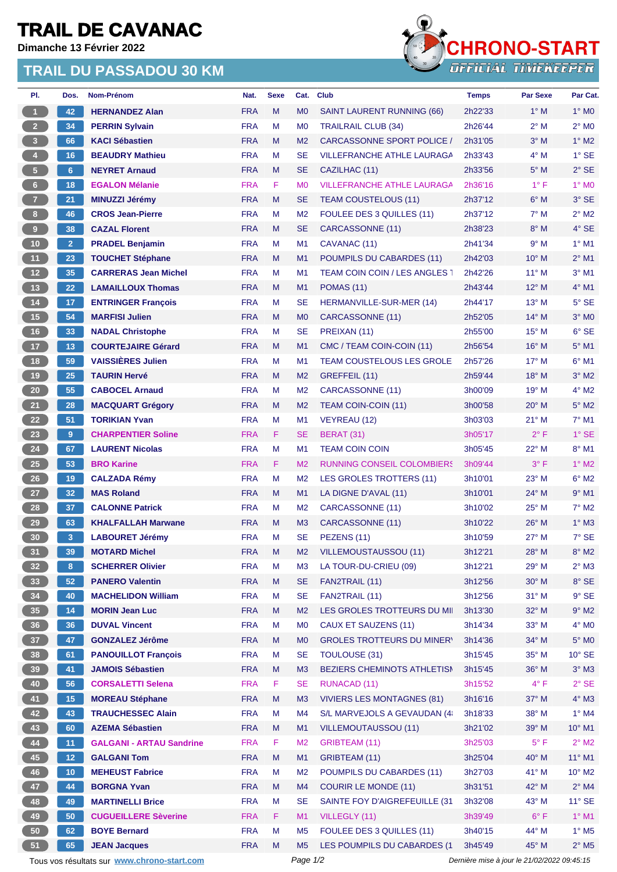## **TRAIL DE CAVANAC**

**Dimanche 13 Février 2022**

## **TRAIL DU PASSADOU 30 KM**



| PI.                                         | Dos.            | Nom-Prénom                      | Nat.       | <b>Sexe</b> | Cat.           | <b>Club</b>                                    | <b>Temps</b> | <b>Par Sexe</b>                             | Par Cat.                   |
|---------------------------------------------|-----------------|---------------------------------|------------|-------------|----------------|------------------------------------------------|--------------|---------------------------------------------|----------------------------|
| $\mathbf{1}$                                | 42              | <b>HERNANDEZ Alan</b>           | <b>FRA</b> | M           | M <sub>0</sub> | SAINT LAURENT RUNNING (66)                     | 2h22'33      | $1^\circ$ M                                 | $1^\circ$ MO               |
| $2^{\circ}$                                 | 34              | <b>PERRIN Sylvain</b>           | <b>FRA</b> | M           | M <sub>0</sub> | <b>TRAILRAIL CLUB (34)</b>                     | 2h26'44      | $2^{\circ}$ M                               | $2^{\circ}$ M <sub>0</sub> |
| $\overline{\mathbf{3}}$                     | 66              | <b>KACI Sébastien</b>           | <b>FRA</b> | M           | M <sub>2</sub> | <b>CARCASSONNE SPORT POLICE /</b>              | 2h31'05      | $3°$ M                                      | $1^\circ$ M2               |
| $\overline{4}$                              | 16              | <b>BEAUDRY Mathieu</b>          | <b>FRA</b> | M           | <b>SE</b>      | <b>VILLEFRANCHE ATHLE LAURAGA</b>              | 2h33'43      | $4^\circ$ M                                 | $1^\circ$ SE               |
| $\sqrt{5}$                                  | $6\phantom{.}6$ | <b>NEYRET Arnaud</b>            | <b>FRA</b> | M           | <b>SE</b>      | CAZILHAC (11)                                  | 2h33'56      | $5^\circ$ M                                 | $2^{\circ}$ SE             |
| $6-$                                        | 18              | <b>EGALON Mélanie</b>           | <b>FRA</b> | F           | M <sub>0</sub> | <b>VILLEFRANCHE ATHLE LAURAGA</b>              | 2h36'16      | $1^{\circ}$ F                               | $1^\circ$ MO               |
| $\overline{7}$                              | 21              | <b>MINUZZI Jérémy</b>           | <b>FRA</b> | M           | <b>SE</b>      | <b>TEAM COUSTELOUS (11)</b>                    | 2h37'12      | $6^\circ$ M                                 | 3° SE                      |
| 8                                           | 46              | <b>CROS Jean-Pierre</b>         | <b>FRA</b> | M           | M <sub>2</sub> | FOULEE DES 3 QUILLES (11)                      | 2h37'12      | $7^\circ$ M                                 | $2^{\circ}$ M2             |
| $\boldsymbol{9}$                            | 38              | <b>CAZAL Florent</b>            | <b>FRA</b> | M           | <b>SE</b>      | CARCASSONNE (11)                               | 2h38'23      | $8^\circ$ M                                 | 4° SE                      |
| 10 <sub>1</sub>                             | 2 <sup>1</sup>  | <b>PRADEL Benjamin</b>          | <b>FRA</b> | M           | M <sub>1</sub> | CAVANAC (11)                                   | 2h41'34      | 9° M                                        | $1^\circ$ M1               |
| 11                                          | 23              | <b>TOUCHET Stéphane</b>         | <b>FRA</b> | M           | M1             | POUMPILS DU CABARDES (11)                      | 2h42'03      | $10^{\circ}$ M                              | $2^{\circ}$ M1             |
| 12                                          | 35              | <b>CARRERAS Jean Michel</b>     | <b>FRA</b> | M           | M <sub>1</sub> | <b>TEAM COIN COIN / LES ANGLES 1</b>           | 2h42'26      | $11^{\circ}$ M                              | $3°$ M1                    |
| 13                                          | 22              | <b>LAMAILLOUX Thomas</b>        | <b>FRA</b> | M           | M1             | <b>POMAS (11)</b>                              | 2h43'44      | $12^{\circ}$ M                              | 4° M1                      |
| 14                                          | 17              | <b>ENTRINGER Francois</b>       | <b>FRA</b> | M           | <b>SE</b>      | <b>HERMANVILLE-SUR-MER (14)</b>                | 2h44'17      | $13^{\circ}$ M                              | $5^\circ$ SE               |
| 15                                          | 54              | <b>MARFISI Julien</b>           | <b>FRA</b> | M           | M <sub>0</sub> | CARCASSONNE (11)                               | 2h52'05      | $14^{\circ}$ M                              | $3°$ MO                    |
| $16$                                        | 33              | <b>NADAL Christophe</b>         | <b>FRA</b> | M           | <b>SE</b>      | PREIXAN (11)                                   | 2h55'00      | $15^{\circ}$ M                              | 6° SE                      |
| $17$                                        | 13              | <b>COURTEJAIRE Gérard</b>       | <b>FRA</b> | M           | M1             | CMC / TEAM COIN-COIN (11)                      | 2h56'54      | $16^{\circ}$ M                              | $5^\circ$ M1               |
| 18                                          | 59              | <b>VAISSIERES Julien</b>        | <b>FRA</b> | M           | M <sub>1</sub> | <b>TEAM COUSTELOUS LES GROLE</b>               | 2h57'26      | $17^\circ$ M                                | $6°$ M1                    |
| 19                                          | 25              | <b>TAURIN Hervé</b>             | <b>FRA</b> | M           | M <sub>2</sub> | GREFFEIL (11)                                  | 2h59'44      | $18^{\circ}$ M                              | $3°$ M2                    |
| 20                                          | 55              | <b>CABOCEL Arnaud</b>           | <b>FRA</b> | M           | M <sub>2</sub> | CARCASSONNE (11)                               | 3h00'09      | $19^{\circ}$ M                              | $4^\circ$ M2               |
| 21                                          | 28              | <b>MACQUART Grégory</b>         | <b>FRA</b> | M           | M <sub>2</sub> | TEAM COIN-COIN (11)                            | 3h00'58      | $20^\circ$ M                                | $5^\circ$ M2               |
| $22$                                        | 51              | <b>TORIKIAN Yvan</b>            | <b>FRA</b> | M           | M <sub>1</sub> | VEYREAU (12)                                   | 3h03'03      | $21^{\circ}$ M                              | $7^\circ$ M1               |
| 23                                          | 9               | <b>CHARPENTIER Soline</b>       | <b>FRA</b> | F.          | <b>SE</b>      | <b>BERAT (31)</b>                              | 3h05'17      | $2^{\circ}$ F                               | $1^\circ$ SE               |
| 24                                          | 67              | <b>LAURENT Nicolas</b>          | <b>FRA</b> | M           | M1             | <b>TEAM COIN COIN</b>                          | 3h05'45      | 22° M                                       | 8° M1                      |
| 25                                          | 53              | <b>BRO Karine</b>               | <b>FRA</b> | F           | M <sub>2</sub> | <b>RUNNING CONSEIL COLOMBIERS</b>              | 3h09'44      | $3^{\circ}$ F                               | $1^\circ$ M2               |
| $26\phantom{.}$                             | 19              | <b>CALZADA Rémy</b>             | <b>FRA</b> | M           | M <sub>2</sub> | LES GROLES TROTTERS (11)                       | 3h10'01      | $23^{\circ}$ M                              | $6^\circ$ M2               |
| 27                                          | 32              | <b>MAS Roland</b>               | <b>FRA</b> | M           | M <sub>1</sub> | LA DIGNE D'AVAL (11)                           | 3h10'01      | $24^{\circ}$ M                              | $9°$ M1                    |
| 28                                          | 37              | <b>CALONNE Patrick</b>          | <b>FRA</b> | M           | M <sub>2</sub> |                                                | 3h10'02      | $25^{\circ}$ M                              | $7^\circ$ M2               |
| 29                                          | 63              | <b>KHALFALLAH Marwane</b>       | <b>FRA</b> | M           | M <sub>3</sub> | CARCASSONNE (11)<br>CARCASSONNE (11)           | 3h10'22      | $26^{\circ}$ M                              | $1^\circ$ M3               |
| 30                                          | 3               | <b>LABOURET Jérémy</b>          | <b>FRA</b> | M           | <b>SE</b>      | PEZENS (11)                                    | 3h10'59      | $27^\circ$ M                                | 7° SE                      |
| 31                                          | 39              | <b>MOTARD Michel</b>            | <b>FRA</b> | M           | M <sub>2</sub> |                                                |              | $28^\circ$ M                                | $8^\circ$ M2               |
|                                             |                 |                                 |            |             |                | VILLEMOUSTAUSSOU (11)<br>LA TOUR-DU-CRIEU (09) | 3h12'21      | 29° M                                       |                            |
| 32 <sub>2</sub>                             | 8               | <b>SCHERRER Olivier</b>         | <b>FRA</b> | M           | M3             |                                                | 3h12'21      |                                             | $2^{\circ}$ M3             |
| 33                                          | 52              | <b>PANERO Valentin</b>          | <b>FRA</b> | M           | <b>SE</b>      | FAN2TRAIL (11)                                 | 3h12'56      | $30^\circ$ M                                | $8^{\circ}$ SE             |
| 34                                          | 40              | <b>MACHELIDON William</b>       | <b>FRA</b> | M           | <b>SE</b>      | FAN2TRAIL (11)                                 | 3h12'56      | $31°$ M                                     | $9°$ SE                    |
| 35                                          | 14              | <b>MORIN Jean Luc</b>           | <b>FRA</b> | M           | M <sub>2</sub> | LES GROLES TROTTEURS DU MII                    | 3h13'30      | 32° M<br>$33^\circ$ M                       | $9^\circ$ M2               |
| 36                                          | 36              | <b>DUVAL Vincent</b>            | <b>FRA</b> | M           | M <sub>0</sub> | CAUX ET SAUZENS (11)                           | 3h14'34      |                                             | $4^\circ$ MO               |
| 37 <sup>°</sup>                             | 47              | <b>GONZALEZ Jérôme</b>          | <b>FRA</b> | M           | M <sub>0</sub> | <b>GROLES TROTTEURS DU MINER'</b>              | 3h14'36      | $34^\circ$ M                                | $5^\circ$ MO               |
| 38                                          | 61              | <b>PANOUILLOT François</b>      | <b>FRA</b> | M           | <b>SE</b>      | <b>TOULOUSE (31)</b>                           | 3h15'45      | $35^\circ$ M                                | 10° SE                     |
| 39                                          | 41              | <b>JAMOIS Sébastien</b>         | <b>FRA</b> | M           | M3             | BEZIERS CHEMINOTS ATHLETISM                    | 3h15'45      | $36^\circ$ M                                | $3^\circ$ M3               |
| 40                                          | 56              | <b>CORSALETTI Selena</b>        | <b>FRA</b> | F           | <b>SE</b>      | <b>RUNACAD (11)</b>                            | 3h15'52      | $4^{\circ}$ F                               | $2°$ SE                    |
| 41                                          | 15              | <b>MOREAU Stéphane</b>          | <b>FRA</b> | M           | M3             | <b>VIVIERS LES MONTAGNES (81)</b>              | 3h16'16      | 37° M                                       | 4° M3                      |
| 42                                          | 43              | <b>TRAUCHESSEC Alain</b>        | <b>FRA</b> | M           | M4             | S/L MARVEJOLS A GEVAUDAN (4)                   | 3h18'33      | $38^\circ$ M                                | $1^\circ$ M4               |
| 43                                          | 60              | <b>AZEMA Sébastien</b>          | <b>FRA</b> | M           | M1             | VILLEMOUTAUSSOU (11)                           | 3h21'02      | 39° M                                       | $10^{\circ}$ M1            |
| 44                                          | 11              | <b>GALGANI - ARTAU Sandrine</b> | <b>FRA</b> | F           | M <sub>2</sub> | GRIBTEAM (11)                                  | 3h25'03      | $5^{\circ}$ F                               | $2^{\circ}$ M2             |
| 45                                          | 12 <sub>2</sub> | <b>GALGANI Tom</b>              | <b>FRA</b> | M           | M1             | GRIBTEAM (11)                                  | 3h25'04      | 40° M                                       | $11^{\circ}$ M1            |
| 46                                          | 10 <sub>1</sub> | <b>MEHEUST Fabrice</b>          | <b>FRA</b> | M           | M <sub>2</sub> | POUMPILS DU CABARDES (11)                      | 3h27'03      | 41° M                                       | $10^{\circ}$ M2            |
| 47                                          | 44              | <b>BORGNA Yvan</b>              | <b>FRA</b> | M           | M4             | <b>COURIR LE MONDE (11)</b>                    | 3h31'51      | 42° M                                       | $2^{\circ}$ M4             |
| 48                                          | 49              | <b>MARTINELLI Brice</b>         | <b>FRA</b> | M           | <b>SE</b>      | SAINTE FOY D'AIGREFEUILLE (31                  | 3h32'08      | 43° M                                       | $11^\circ$ SE              |
| 49                                          | 50              | <b>CUGUEILLERE Sèverine</b>     | <b>FRA</b> | F           | M1             | VILLEGLY (11)                                  | 3h39'49      | $6^{\circ}$ F                               | $1^\circ$ M1               |
| 50                                          | 62              | <b>BOYE Bernard</b>             | <b>FRA</b> | M           | M <sub>5</sub> | FOULEE DES 3 QUILLES (11)                      | 3h40'15      | 44° M                                       | $1^\circ$ M <sub>5</sub>   |
| 51                                          | 65              | <b>JEAN Jacques</b>             | <b>FRA</b> | M           | M <sub>5</sub> | LES POUMPILS DU CABARDES (1                    | 3h45'49      | 45° M                                       | $2^{\circ}$ M <sub>5</sub> |
| Tous vos résultats sur www.chrono-start.com |                 |                                 |            |             | Page 1/2       |                                                |              | Dernière mise à jour le 21/02/2022 09:45:15 |                            |